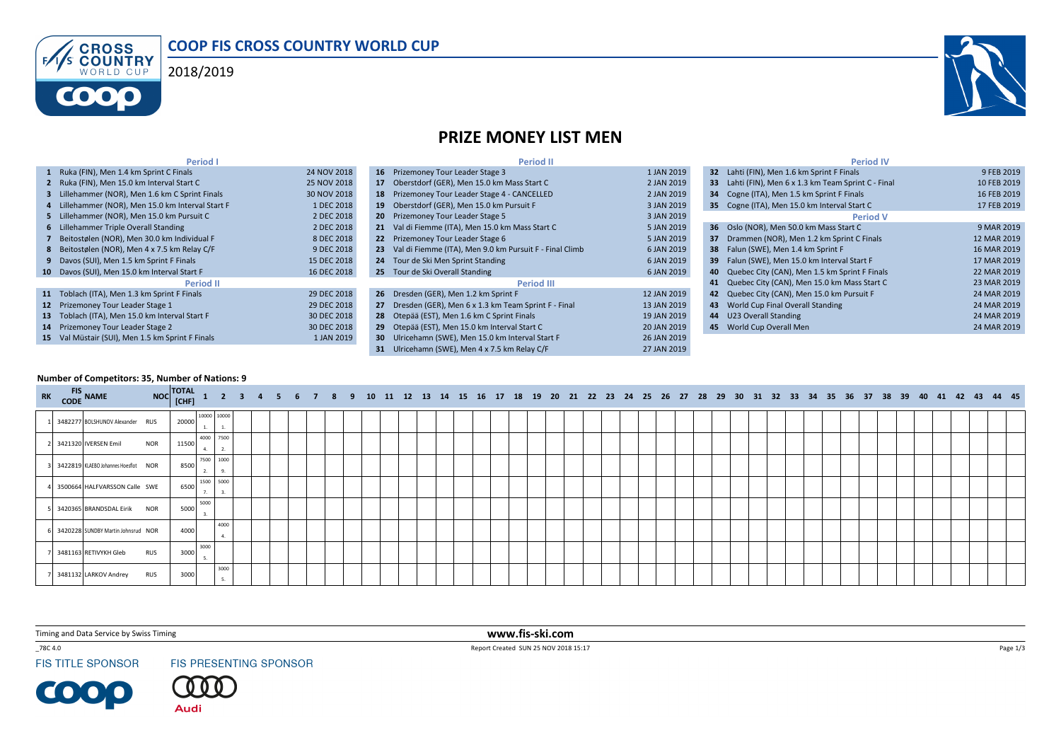





## PRIZE MONEY LIST MEN

| <b>Period I</b>                                   |             | <b>Period II</b>                                           |             | <b>Period IV</b>                                     |             |
|---------------------------------------------------|-------------|------------------------------------------------------------|-------------|------------------------------------------------------|-------------|
| 1 Ruka (FIN), Men 1.4 km Sprint C Finals          | 24 NOV 2018 | 16 Prizemoney Tour Leader Stage 3                          | 1 JAN 2019  | 32 Lahti (FIN), Men 1.6 km Sprint F Finals           | 9 FEB 2019  |
| 2 Ruka (FIN), Men 15.0 km Interval Start C        | 25 NOV 2018 | 17 Oberstdorf (GER), Men 15.0 km Mass Start C              | 2 JAN 2019  | 33 Lahti (FIN). Men 6 x 1.3 km Team Sprint C - Final | 10 FEB 2019 |
| 3 Lillehammer (NOR), Men 1.6 km C Sprint Finals   | 30 NOV 2018 | 18 Prizemoney Tour Leader Stage 4 - CANCELLED              | 2 JAN 2019  | 34 Cogne (ITA), Men 1.5 km Sprint F Finals           | 16 FEB 2019 |
| 4 Lillehammer (NOR), Men 15.0 km Interval Start F | 1 DEC 2018  | 19 Oberstdorf (GER), Men 15.0 km Pursuit F                 | 3 JAN 2019  | 35 Cogne (ITA), Men 15.0 km Interval Start C         | 17 FEB 2019 |
| 5 Lillehammer (NOR), Men 15.0 km Pursuit C        | 2 DEC 2018  | 20 Prizemoney Tour Leader Stage 5                          | 3 JAN 2019  | <b>Period V</b>                                      |             |
| 6 Lillehammer Triple Overall Standing             | 2 DEC 2018  | 21 Val di Fiemme (ITA), Men 15.0 km Mass Start C           | 5 JAN 2019  | 36 Oslo (NOR), Men 50.0 km Mass Start C              | 9 MAR 2019  |
| 7 Beitostølen (NOR), Men 30.0 km Individual F     | 8 DEC 2018  | 22 Prizemoney Tour Leader Stage 6                          | 5 JAN 2019  | 37 Drammen (NOR), Men 1.2 km Sprint C Finals         | 12 MAR 2019 |
| 8 Beitostølen (NOR), Men 4 x 7.5 km Relay C/F     | 9 DEC 2018  | 23 Val di Fiemme (ITA), Men 9.0 km Pursuit F - Final Climb | 6 JAN 2019  | <b>38</b> Falun (SWE), Men 1.4 km Sprint F           | 16 MAR 2019 |
| 9 Davos (SUI). Men 1.5 km Sprint F Finals         | 15 DEC 2018 | 24 Tour de Ski Men Sprint Standing                         | 6 JAN 2019  | 39 Falun (SWE). Men 15.0 km Interval Start F         | 17 MAR 2019 |
| 10 Davos (SUI), Men 15.0 km Interval Start F      | 16 DEC 2018 | 25 Tour de Ski Overall Standing                            | 6 JAN 2019  | 40 Quebec City (CAN), Men 1.5 km Sprint F Finals     | 22 MAR 2019 |
| <b>Period II</b>                                  |             | <b>Period III</b>                                          |             | 41 Quebec City (CAN), Men 15.0 km Mass Start C       | 23 MAR 2019 |
| 11 Toblach (ITA), Men 1.3 km Sprint F Finals      | 29 DEC 2018 | 26 Dresden (GER), Men 1.2 km Sprint F                      | 12 JAN 2019 | 42 Quebec City (CAN), Men 15.0 km Pursuit F          | 24 MAR 2019 |
| 12 Prizemoney Tour Leader Stage 1                 | 29 DEC 2018 | 27 Dresden (GER), Men 6 x 1.3 km Team Sprint F - Final     | 13 JAN 2019 | 43 World Cup Final Overall Standing                  | 24 MAR 2019 |
| 13 Toblach (ITA), Men 15.0 km Interval Start F    | 30 DEC 2018 | 28 Otepää (EST), Men 1.6 km C Sprint Finals                | 19 JAN 2019 | 44 U23 Overall Standing                              | 24 MAR 2019 |
| 14 Prizemoney Tour Leader Stage 2                 | 30 DEC 2018 | 29 Otepää (EST), Men 15.0 km Interval Start C              | 20 JAN 2019 | 45 World Cup Overall Men                             | 24 MAR 2019 |
| 15 Val Müstair (SUI), Men 1.5 km Sprint F Finals  | 1 JAN 2019  | <b>30</b> Ulricehamn (SWE), Men 15.0 km Interval Start F   | 26 JAN 2019 |                                                      |             |
|                                                   |             | 31 Ulricehamn (SWE). Men 4 x 7.5 km Relay C/F              | 27 JAN 2019 |                                                      |             |

## Number of Competitors: 35, Number of Nations: 9

| RK FIS NAME |                                      | NOC TOTAL 1 2 3 4 5 6 7 8 9 10 11 12 13 14 15 16 17 18 19 20 21 22 23 24 25 26 27 28 29 30 31 32 33 34 35 36 37 38 39 40 41 42 43 44 45 |       |                 |            |  |  |  |  |  |  |  |  |  |  |  |  |  |  |  |  |  |  |  |  |  |  |
|-------------|--------------------------------------|-----------------------------------------------------------------------------------------------------------------------------------------|-------|-----------------|------------|--|--|--|--|--|--|--|--|--|--|--|--|--|--|--|--|--|--|--|--|--|--|
|             | 3482277 BOLSHUNOV Alexander RUS      |                                                                                                                                         | 20000 | 10000 10000     |            |  |  |  |  |  |  |  |  |  |  |  |  |  |  |  |  |  |  |  |  |  |  |
|             | 3421320 IVERSEN Emil                 | <b>NOR</b>                                                                                                                              | 11500 | 4000 7500<br>4. | 2.         |  |  |  |  |  |  |  |  |  |  |  |  |  |  |  |  |  |  |  |  |  |  |
|             | 3422819 KLAEBO Johannes Hoesflot NOR |                                                                                                                                         | 8500  | 7500 1000       | 9.         |  |  |  |  |  |  |  |  |  |  |  |  |  |  |  |  |  |  |  |  |  |  |
|             | 3500664 HALFVARSSON Calle SWE        |                                                                                                                                         | 6500  | 1500 5000       | 3.         |  |  |  |  |  |  |  |  |  |  |  |  |  |  |  |  |  |  |  |  |  |  |
|             | 3420365 BRANDSDAL Eirik NOR          |                                                                                                                                         | 5000  | 5000            |            |  |  |  |  |  |  |  |  |  |  |  |  |  |  |  |  |  |  |  |  |  |  |
|             | 3420228 SUNDBY Martin Johnsrud NOR   |                                                                                                                                         | 4000  |                 | 4000<br>4. |  |  |  |  |  |  |  |  |  |  |  |  |  |  |  |  |  |  |  |  |  |  |
|             | 3481163 RETIVYKH Gleb                | <b>RUS</b>                                                                                                                              | 3000  | 3000            |            |  |  |  |  |  |  |  |  |  |  |  |  |  |  |  |  |  |  |  |  |  |  |
|             | 3481132 LARKOV Andrey                | <b>RUS</b>                                                                                                                              | 3000  |                 | 3000<br>5. |  |  |  |  |  |  |  |  |  |  |  |  |  |  |  |  |  |  |  |  |  |  |

Timing and Data Service by Swiss Timing

 $\_78C$   $4.0\,$ 

**FIS TITLE SPONSOR** 

**COOP** 

FIS PRESENTING SPONSOR

0 **Audi** 

 www.fis-ski.comReport Created SUN 25 NOV 2018 15:17

Page  $1/3$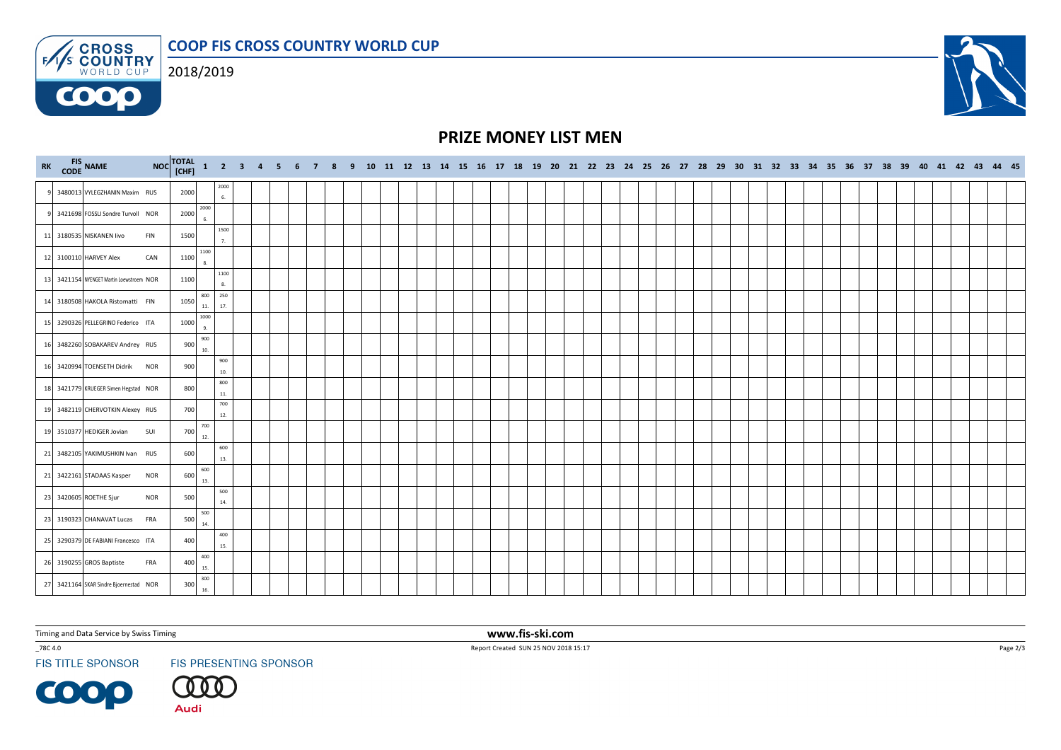COOP FIS CROSS COUNTRY WORLD CUP**ENS CROSS** 



**COOO** 



## PRIZE MONEY LIST MEN

| RK FIS NAME |                                          |            | NOC TOTAL 1 2 3 4 5 6 7 8 9 10 11 12 13 14 15 16 17 18 19 20 21 22 23 24 25 26 27 28 29 30 31 32 33 34 35 36 37 38 39 40 41 42 43 44 45 |                     |            |  |  |  |  |  |  |  |  |  |  |  |  |  |  |  |  |  |  |  |  |  |
|-------------|------------------------------------------|------------|-----------------------------------------------------------------------------------------------------------------------------------------|---------------------|------------|--|--|--|--|--|--|--|--|--|--|--|--|--|--|--|--|--|--|--|--|--|
|             | 3480013 VYLEGZHANIN Maxim RUS            |            | 2000                                                                                                                                    |                     | 2000<br>6. |  |  |  |  |  |  |  |  |  |  |  |  |  |  |  |  |  |  |  |  |  |
| q           | 3421698 FOSSLI Sondre Turvoll NOR        |            | 2000                                                                                                                                    | 2000<br>6.          |            |  |  |  |  |  |  |  |  |  |  |  |  |  |  |  |  |  |  |  |  |  |
|             | 11 3180535 NISKANEN livo<br>FIN          |            | 1500                                                                                                                                    |                     | 1500<br>7. |  |  |  |  |  |  |  |  |  |  |  |  |  |  |  |  |  |  |  |  |  |
|             | 12 3100110 HARVEY Alex                   | CAN        | 1100                                                                                                                                    | 1100<br>8.          |            |  |  |  |  |  |  |  |  |  |  |  |  |  |  |  |  |  |  |  |  |  |
|             | 13 3421154 NYENGET Martin Loewstroem NOR |            | 1100                                                                                                                                    |                     | 1100<br>8. |  |  |  |  |  |  |  |  |  |  |  |  |  |  |  |  |  |  |  |  |  |
|             | 14 3180508 HAKOLA Ristomatti FIN         |            | 1050                                                                                                                                    | 250<br>800<br>$11.$ | 17.        |  |  |  |  |  |  |  |  |  |  |  |  |  |  |  |  |  |  |  |  |  |
|             | 15 3290326 PELLEGRINO Federico ITA       |            | 1000                                                                                                                                    | 1000<br>9.          |            |  |  |  |  |  |  |  |  |  |  |  |  |  |  |  |  |  |  |  |  |  |
|             | 16 3482260 SOBAKAREV Andrey RUS          |            | 900                                                                                                                                     | 900<br>$10.$        |            |  |  |  |  |  |  |  |  |  |  |  |  |  |  |  |  |  |  |  |  |  |
|             | 16 3420994 TOENSETH Didrik NOR           |            | 900                                                                                                                                     |                     | 900<br>10. |  |  |  |  |  |  |  |  |  |  |  |  |  |  |  |  |  |  |  |  |  |
|             | 18 3421779 KRUEGER Simen Hegstad NOR     |            | 800                                                                                                                                     |                     | 800<br>11. |  |  |  |  |  |  |  |  |  |  |  |  |  |  |  |  |  |  |  |  |  |
|             | 19 3482119 CHERVOTKIN Alexey RUS         |            | 700                                                                                                                                     |                     | 700<br>12. |  |  |  |  |  |  |  |  |  |  |  |  |  |  |  |  |  |  |  |  |  |
|             | 19 3510377 HEDIGER Jovian<br>SUI         |            | 700                                                                                                                                     | 700<br>12.          |            |  |  |  |  |  |  |  |  |  |  |  |  |  |  |  |  |  |  |  |  |  |
|             | 21 3482105 YAKIMUSHKIN Ivan RUS          |            | 600                                                                                                                                     |                     | 600<br>13. |  |  |  |  |  |  |  |  |  |  |  |  |  |  |  |  |  |  |  |  |  |
|             | 21 3422161 STADAAS Kasper                | <b>NOR</b> | 600                                                                                                                                     | 600<br>13.          |            |  |  |  |  |  |  |  |  |  |  |  |  |  |  |  |  |  |  |  |  |  |
|             | 23 3420605 ROETHE Sjur                   | <b>NOR</b> | 500                                                                                                                                     |                     | 500<br>14. |  |  |  |  |  |  |  |  |  |  |  |  |  |  |  |  |  |  |  |  |  |
|             | 23 3190323 CHANAVAT Lucas FRA            |            | 500                                                                                                                                     | 500<br>14.          |            |  |  |  |  |  |  |  |  |  |  |  |  |  |  |  |  |  |  |  |  |  |
|             | 25 3290379 DE FABIANI Francesco ITA      |            | 400                                                                                                                                     |                     | 400<br>15. |  |  |  |  |  |  |  |  |  |  |  |  |  |  |  |  |  |  |  |  |  |
|             | 26 3190255 GROS Baptiste<br>FRA          |            | 400                                                                                                                                     | 400<br>15.          |            |  |  |  |  |  |  |  |  |  |  |  |  |  |  |  |  |  |  |  |  |  |
|             | 27 3421164 SKAR Sindre Bjoernestad NOR   |            | 300                                                                                                                                     | 300<br>16.          |            |  |  |  |  |  |  |  |  |  |  |  |  |  |  |  |  |  |  |  |  |  |

Timing and Data Service by Swiss Timing

 $\_78C$  4.0  $\,$ 

**FIS TITLE SPONSOR** 

**COOP** 

FIS PRESENTING SPONSOR

〔00

**Audi** 

 www.fis-ski.comReport Created SUN 25 NOV 2018 15:17